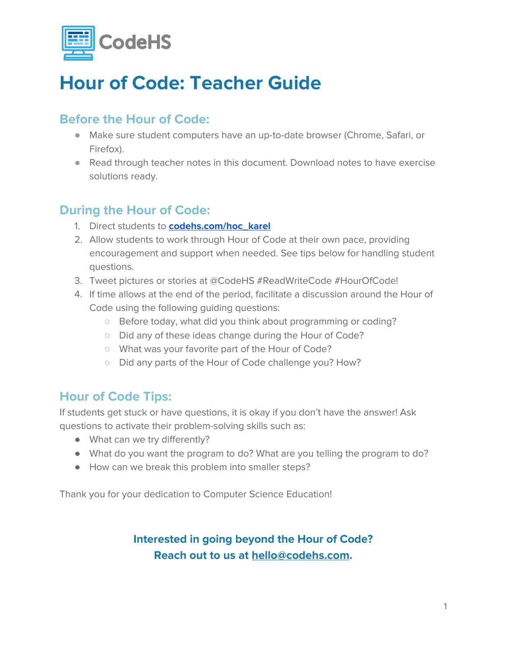

### **Hour of Code: Teacher Guide**

### **Before the Hour of Code:**

- Make sure student computers have an up-to-date browser (Chrome, Safari, or Firefox).
- Read through teacher notes in this document. Download notes to have exercise solutions ready.

#### **During the Hour of Code:**

- 1. Direct students to **[codehs.com/hoc\\_karel](http://codehs.com/hoc_karel)**
- 2. Allow students to work through Hour of Code at their own pace, providing encouragement and support when needed. See tips below for handling student questions.
- 3. Tweet pictures or stories at @CodeHS #ReadWriteCode #HourOfCode!
- 4. If time allows at the end of the period, facilitate a discussion around the Hour of Code using the following guiding questions:
	- Before today, what did you think about programming or coding?
	- Did any of these ideas change during the Hour of Code?
	- What was your favorite part of the Hour of Code?
	- Did any parts of the Hour of Code challenge you? How?

#### **Hour of Code Tips:**

If students get stuck or have questions, it is okay if you don't have the answer! Ask questions to activate their problem-solving skills such as:

- What can we try differently?
- What do you want the program to do? What are you telling the program to do?
- How can we break this problem into smaller steps?

Thank you for your dedication to Computer Science Education!

#### **Interested in going beyond the Hour of Code? Reach out to us at [hello@codehs.com](mailto:hello@codehs.com).**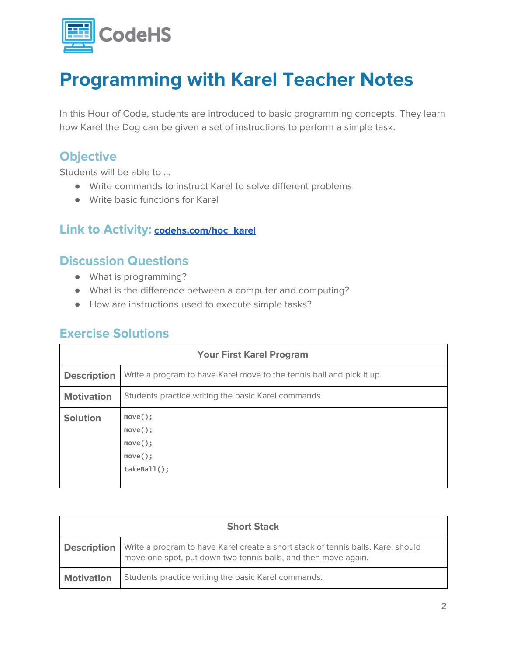

## **Programming with Karel Teacher Notes**

In this Hour of Code, students are introduced to basic programming concepts. They learn how Karel the Dog can be given a set of instructions to perform a simple task.

#### **Objective**

Students will be able to …

- Write commands to instruct Karel to solve different problems
- Write basic functions for Karel

#### **Link to Activity: [codehs.com/hoc\\_karel](http://codehs.com/hoc_karel)**

#### **Discussion Questions**

- What is programming?
- What is the difference between a computer and computing?
- How are instructions used to execute simple tasks?

#### **Exercise Solutions**

| <b>Your First Karel Program</b> |                                                                       |  |
|---------------------------------|-----------------------------------------------------------------------|--|
| <b>Description</b>              | Write a program to have Karel move to the tennis ball and pick it up. |  |
| <b>Motivation</b>               | Students practice writing the basic Karel commands.                   |  |
| <b>Solution</b>                 | $move()$ ;<br>$move()$ ;<br>$move()$ ;<br>$move()$ ;<br>takeBall();   |  |

| <b>Short Stack</b> |                                                                                                                                                    |
|--------------------|----------------------------------------------------------------------------------------------------------------------------------------------------|
| <b>Description</b> | Write a program to have Karel create a short stack of tennis balls. Karel should<br>move one spot, put down two tennis balls, and then move again. |
| <b>Motivation</b>  | Students practice writing the basic Karel commands.                                                                                                |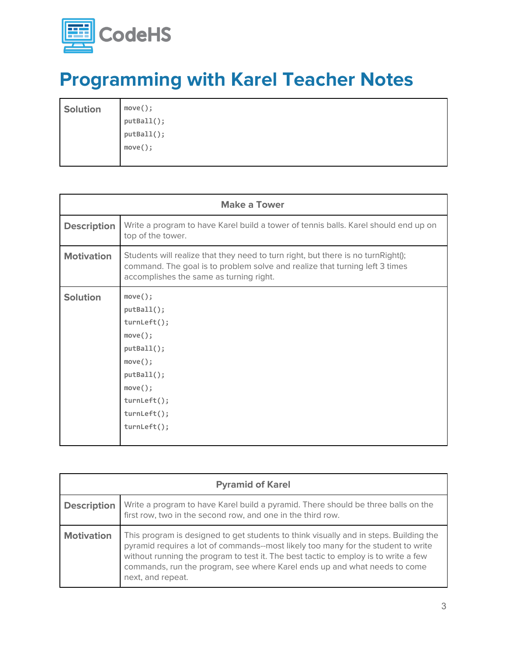

# **Programming with Karel Teacher Notes**

| <b>Solution</b> | move();    |
|-----------------|------------|
|                 | putBall(); |
|                 | putBall(); |
|                 | move();    |
|                 |            |

| <b>Make a Tower</b> |                                                                                                                                                                                                            |  |
|---------------------|------------------------------------------------------------------------------------------------------------------------------------------------------------------------------------------------------------|--|
| <b>Description</b>  | Write a program to have Karel build a tower of tennis balls. Karel should end up on<br>top of the tower.                                                                                                   |  |
| <b>Motivation</b>   | Students will realize that they need to turn right, but there is no turnRight();<br>command. The goal is to problem solve and realize that turning left 3 times<br>accomplishes the same as turning right. |  |
| <b>Solution</b>     | $move()$ ;<br>putBall();<br>turnLeft();<br>$move()$ ;<br>putBall();<br>$move()$ ;<br>$putBall()$ ;<br>$move()$ ;<br>turnLeft();<br>turnLeft();<br>turnLeft();                                              |  |

| <b>Pyramid of Karel</b> |                                                                                                                                                                                                                                                                                                                                                                     |
|-------------------------|---------------------------------------------------------------------------------------------------------------------------------------------------------------------------------------------------------------------------------------------------------------------------------------------------------------------------------------------------------------------|
| <b>Description</b>      | Write a program to have Karel build a pyramid. There should be three balls on the<br>first row, two in the second row, and one in the third row.                                                                                                                                                                                                                    |
| <b>Motivation</b>       | This program is designed to get students to think visually and in steps. Building the<br>pyramid requires a lot of commands--most likely too many for the student to write<br>without running the program to test it. The best tactic to employ is to write a few<br>commands, run the program, see where Karel ends up and what needs to come<br>next, and repeat. |